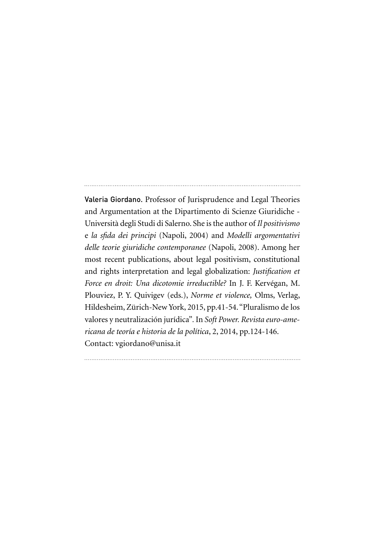Valeria Giordano. Professor of Jurisprudence and Legal Theories and Argumentation at the Dipartimento di Scienze Giuridiche - Università degli Studi di Salerno. She is the author of *Il positivismo* e *la sfida dei principi* (Napoli, 2004) and *Modelli argomentativi delle teorie giuridiche contemporanee* (Napoli, 2008). Among her most recent publications, about legal positivism, constitutional and rights interpretation and legal globalization: *Justification et Force en droit: Una dicotomie irreductible?* In J. F. Kervégan, M. Plouviez, P. Y. Quivigev (eds.), *Norme et violence,* Olms, Verlag, Hildesheim, Zürich-New York, 2015, pp.41-54. "Pluralismo de los valores y neutralización jurídica"*.* In *Soft Power. Revista euro-americana de teoría e historia de la política*, 2, 2014, pp.124-146. Contact: vgiordano@unisa.it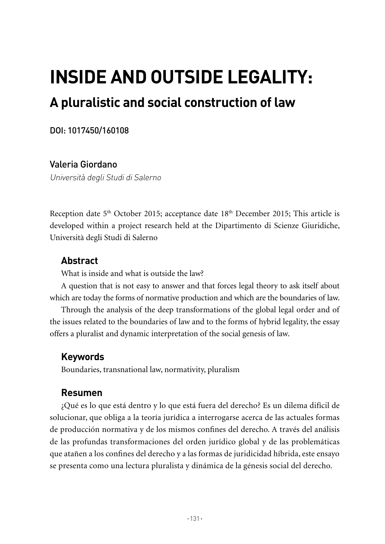# **Inside and outside legality:**

# **A pluralistic and social construction of law**

### DOI: 1017450/160108

## Valeria Giordano

Università degli Studi di Salerno

Reception date  $5<sup>th</sup>$  October 2015; acceptance date  $18<sup>th</sup>$  December 2015; This article is developed within a project research held at the Dipartimento di Scienze Giuridiche, Università degli Studi di Salerno

# **Abstract**

What is inside and what is outside the law?

A question that is not easy to answer and that forces legal theory to ask itself about which are today the forms of normative production and which are the boundaries of law.

Through the analysis of the deep transformations of the global legal order and of the issues related to the boundaries of law and to the forms of hybrid legality, the essay offers a pluralist and dynamic interpretation of the social genesis of law.

# **Keywords**

Boundaries, transnational law, normativity, pluralism

# **Resumen**

¿Qué es lo que está dentro y lo que está fuera del derecho? Es un dilema difícil de solucionar, que obliga a la teoría jurídica a interrogarse acerca de las actuales formas de producción normativa y de los mismos confines del derecho. A través del análisis de las profundas transformaciones del orden jurídico global y de las problemáticas que atañen a los confines del derecho y a las formas de juridicidad híbrida, este ensayo se presenta como una lectura pluralista y dinámica de la génesis social del derecho.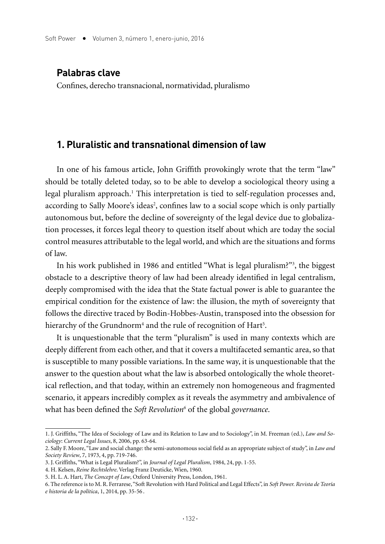#### **Palabras clave**

Confines, derecho transnacional, normatividad, pluralismo

#### **1. Pluralistic and transnational dimension of law**

In one of his famous article, John Griffith provokingly wrote that the term "law" should be totally deleted today, so to be able to develop a sociological theory using a legal pluralism approach.<sup>1</sup> This interpretation is tied to self-regulation processes and, according to Sally Moore's ideas<sup>2</sup>, confines law to a social scope which is only partially autonomous but, before the decline of sovereignty of the legal device due to globalization processes, it forces legal theory to question itself about which are today the social control measures attributable to the legal world, and which are the situations and forms of law.

In his work published in 1986 and entitled "What is legal pluralism?"3 , the biggest obstacle to a descriptive theory of law had been already identified in legal centralism, deeply compromised with the idea that the State factual power is able to guarantee the empirical condition for the existence of law: the illusion, the myth of sovereignty that follows the directive traced by Bodin-Hobbes-Austin, transposed into the obsession for hierarchy of the Grundnorm<sup>4</sup> and the rule of recognition of Hart<sup>5</sup>.

It is unquestionable that the term "pluralism" is used in many contexts which are deeply different from each other, and that it covers a multifaceted semantic area, so that is susceptible to many possible variations. In the same way, it is unquestionable that the answer to the question about what the law is absorbed ontologically the whole theoretical reflection, and that today, within an extremely non homogeneous and fragmented scenario, it appears incredibly complex as it reveals the asymmetry and ambivalence of what has been defined the Soft Revolution<sup>6</sup> of the global governance.

<sup>1.</sup> J. Griffiths, "The Idea of Sociology of Law and its Relation to Law and to Sociology", in M. Freeman (ed.), *Law and Sociology*: *Current Legal Issues*, 8, 2006, pp. 63-64.

<sup>2.</sup> Sally F. Moore, "Law and social change: the semi-autonomous social field as an appropriate subject of study", in *Law and Society Review*, 7, 1973, 4, pp. 719-746.

<sup>3.</sup> J. Griffiths, "What is Legal Pluralism?", in *Journal of Legal Pluralism*, 1984, 24, pp. 1-55.

<sup>4.</sup> H. Kelsen, *Reine Rechtslehre*. Verlag Franz Deuticke, Wien, 1960.

<sup>5.</sup> H. L. A. Hart, *The Concept of Law*, Oxford University Press, London, 1961.

<sup>6.</sup> The reference is to M. R. Ferrarese, "Soft Revolution with Hard Political and Legal Effects", in *Soft Power. Revista de Teoría e historia de la política*, 1, 2014, pp. 35-56 .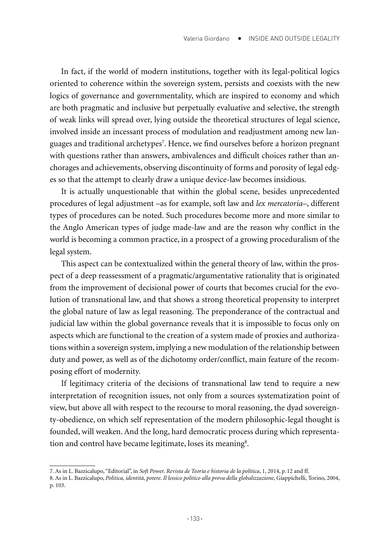In fact, if the world of modern institutions, together with its legal-political logics oriented to coherence within the sovereign system, persists and coexists with the new logics of governance and governmentality, which are inspired to economy and which are both pragmatic and inclusive but perpetually evaluative and selective, the strength of weak links will spread over, lying outside the theoretical structures of legal science, involved inside an incessant process of modulation and readjustment among new languages and traditional archetypes7 . Hence, we find ourselves before a horizon pregnant with questions rather than answers, ambivalences and difficult choices rather than anchorages and achievements, observing discontinuity of forms and porosity of legal edges so that the attempt to clearly draw a unique device-law becomes insidious.

It is actually unquestionable that within the global scene, besides unprecedented procedures of legal adjustment –as for example, soft law and *lex mercatoria*–, different types of procedures can be noted. Such procedures become more and more similar to the Anglo American types of judge made-law and are the reason why conflict in the world is becoming a common practice, in a prospect of a growing proceduralism of the legal system.

This aspect can be contextualized within the general theory of law, within the prospect of a deep reassessment of a pragmatic/argumentative rationality that is originated from the improvement of decisional power of courts that becomes crucial for the evolution of transnational law, and that shows a strong theoretical propensity to interpret the global nature of law as legal reasoning. The preponderance of the contractual and judicial law within the global governance reveals that it is impossible to focus only on aspects which are functional to the creation of a system made of proxies and authorizations within a sovereign system, implying a new modulation of the relationship between duty and power, as well as of the dichotomy order/conflict, main feature of the recomposing effort of modernity.

If legitimacy criteria of the decisions of transnational law tend to require a new interpretation of recognition issues, not only from a sources systematization point of view, but above all with respect to the recourse to moral reasoning, the dyad sovereignty-obedience, on which self representation of the modern philosophic-legal thought is founded, will weaken. And the long, hard democratic process during which representation and control have became legitimate, loses its meaning<sup>8</sup>.

<sup>7.</sup> As in L. Bazzicalupo, "Editorial", in *Soft Power. Revista de Teoría e historia de la política*, 1, 2014, p.12 and ff.

<sup>8.</sup> As in L. Bazzicalupo, *Politica, identità, potere. Il lessico politico alla prova della globalizzazione*, Giappichelli, Torino, 2004, p. 103.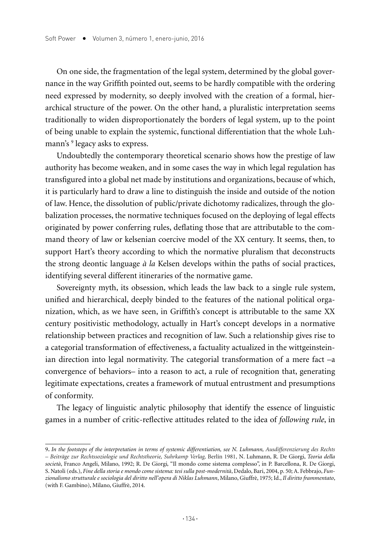On one side, the fragmentation of the legal system, determined by the global governance in the way Griffith pointed out, seems to be hardly compatible with the ordering need expressed by modernity, so deeply involved with the creation of a formal, hierarchical structure of the power. On the other hand, a pluralistic interpretation seems traditionally to widen disproportionately the borders of legal system, up to the point of being unable to explain the systemic, functional differentiation that the whole Luhmann's 9 legacy asks to express.

Undoubtedly the contemporary theoretical scenario shows how the prestige of law authority has become weaken, and in some cases the way in which legal regulation has transfigured into a global net made by institutions and organizations, because of which, it is particularly hard to draw a line to distinguish the inside and outside of the notion of law. Hence, the dissolution of public/private dichotomy radicalizes, through the globalization processes, the normative techniques focused on the deploying of legal effects originated by power conferring rules, deflating those that are attributable to the command theory of law or kelsenian coercive model of the XX century. It seems, then, to support Hart's theory according to which the normative pluralism that deconstructs the strong deontic language *à la* Kelsen develops within the paths of social practices, identifying several different itineraries of the normative game.

Sovereignty myth, its obsession, which leads the law back to a single rule system, unified and hierarchical, deeply binded to the features of the national political organization, which, as we have seen, in Griffith's concept is attributable to the same XX century positivistic methodology, actually in Hart's concept develops in a normative relationship between practices and recognition of law. Such a relationship gives rise to a categorial transformation of effectiveness, a factuality actualized in the wittgeinsteinian direction into legal normativity. The categorial transformation of a mere fact –a convergence of behaviors– into a reason to act, a rule of recognition that, generating legitimate expectations, creates a framework of mutual entrustment and presumptions of conformity.

The legacy of linguistic analytic philosophy that identify the essence of linguistic games in a number of critic-reflective attitudes related to the idea of *following rule*, in

<sup>9</sup>*. In the footsteps of the interpretation in terms of systemic differentiation, see N. Luhmann, Ausdifferenzierung des Rechts – Beiträge zur Rechtssoziologie und Rechtstheorie, Suhrkamp Verlag,* Berlín 1981, N. Luhmann, R. De Giorgi, *Teoria della società*, Franco Angeli, Milano, 1992; R. De Giorgi*,* "Il mondo come sistema complesso", in P. Barcellona, R. De Giorgi, S. Natoli (eds.), *Fine della storia e mondo come sistema: tesi sulla post-modernità*, Dedalo, Bari, 2004, p. 50; A. Febbrajo, *Funzionalismo strutturale e sociologia del diritto nell'opera di Niklas Luhmann*, Milano, Giuffrè, 1975; Id., *Il diritto frammentato*, (with F. Gambino), Milano, Giuffrè, 2014.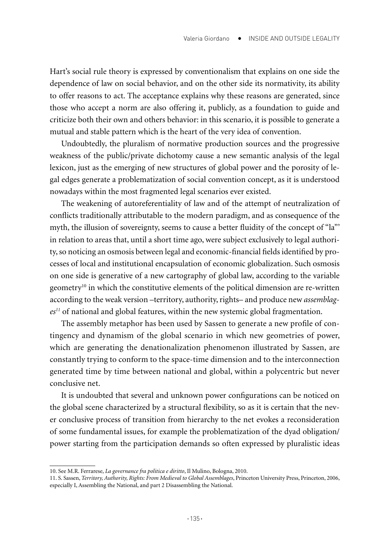Hart's social rule theory is expressed by conventionalism that explains on one side the dependence of law on social behavior, and on the other side its normativity, its ability to offer reasons to act. The acceptance explains why these reasons are generated, since those who accept a norm are also offering it, publicly, as a foundation to guide and criticize both their own and others behavior: in this scenario, it is possible to generate a mutual and stable pattern which is the heart of the very idea of convention.

Undoubtedly, the pluralism of normative production sources and the progressive weakness of the public/private dichotomy cause a new semantic analysis of the legal lexicon, just as the emerging of new structures of global power and the porosity of legal edges generate a problematization of social convention concept, as it is understood nowadays within the most fragmented legal scenarios ever existed.

The weakening of autoreferentiality of law and of the attempt of neutralization of conflicts traditionally attributable to the modern paradigm, and as consequence of the myth, the illusion of sovereignty, seems to cause a better fluidity of the concept of "la"' in relation to areas that, until a short time ago, were subject exclusively to legal authority, so noticing an osmosis between legal and economic-financial fields identified by processes of local and institutional encapsulation of economic globalization. Such osmosis on one side is generative of a new cartography of global law, according to the variable geometry<sup>10</sup> in which the constitutive elements of the political dimension are re-written according to the weak version –territory, authority, rights– and produce new *assemblages11* of national and global features, within the new systemic global fragmentation.

The assembly metaphor has been used by Sassen to generate a new profile of contingency and dynamism of the global scenario in which new geometries of power, which are generating the denationalization phenomenon illustrated by Sassen, are constantly trying to conform to the space-time dimension and to the interconnection generated time by time between national and global, within a polycentric but never conclusive net.

It is undoubted that several and unknown power configurations can be noticed on the global scene characterized by a structural flexibility, so as it is certain that the never conclusive process of transition from hierarchy to the net evokes a reconsideration of some fundamental issues, for example the problematization of the dyad obligation/ power starting from the participation demands so often expressed by pluralistic ideas

<sup>10.</sup> See M.R. Ferrarese, *La governance fra politica e diritto*, Il Mulino, Bologna, 2010.

<sup>11.</sup> S. Sassen, *Territory, Authority, Rights: From Medieval to Global Assemblages*, Princeton University Press, Princeton, 2006, especially I, Assembling the National, and part 2 Disassembling the National.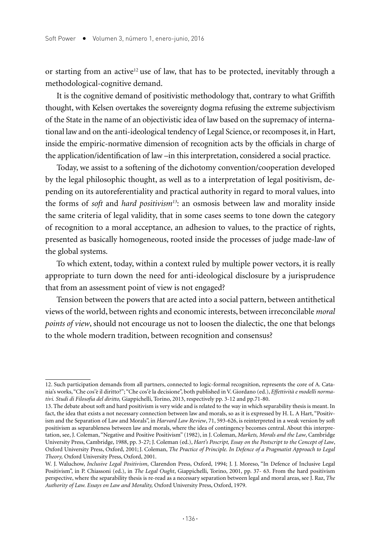or starting from an active<sup>12</sup> use of law, that has to be protected, inevitably through a methodological-cognitive demand.

It is the cognitive demand of positivistic methodology that, contrary to what Griffith thought, with Kelsen overtakes the sovereignty dogma refusing the extreme subjectivism of the State in the name of an objectivistic idea of law based on the supremacy of international law and on the anti-ideological tendency of Legal Science, or recomposes it, in Hart, inside the empiric-normative dimension of recognition acts by the officials in charge of the application/identification of law –in this interpretation, considered a social practice.

Today, we assist to a softening of the dichotomy convention/cooperation developed by the legal philosophic thought, as well as to a interpretation of legal positivism, depending on its autoreferentiality and practical authority in regard to moral values, into the forms of *soft* and *hard positivism13*: an osmosis between law and morality inside the same criteria of legal validity, that in some cases seems to tone down the category of recognition to a moral acceptance, an adhesion to values, to the practice of rights, presented as basically homogeneous, rooted inside the processes of judge made-law of the global systems.

To which extent, today, within a context ruled by multiple power vectors, it is really appropriate to turn down the need for anti-ideological disclosure by a jurisprudence that from an assessment point of view is not engaged?

Tension between the powers that are acted into a social pattern, between antithetical views of the world, between rights and economic interests, between irreconcilable *moral points of view*, should not encourage us not to loosen the dialectic, the one that belongs to the whole modern tradition, between recognition and consensus?

<sup>12.</sup> Such participation demands from all partners, connected to logic-formal recognition, represents the core of A. Catania's works, "Che cos'è il diritto?"; "Che cos'è la decisione", both published in V. Giordano (ed.), *Effettività e modelli normativi. Studi di Filosofia del diritto,* Giappichelli, Torino, 2013, respectively pp. 3-12 and pp.71-80.

<sup>13.</sup> The debate about soft and hard positivism is very wide and is related to the way in which separability thesis is meant. In fact, the idea that exists a not necessary connection between law and morals, so as it is expressed by H. L. A Hart, "Positivism and the Separation of Law and Morals", in *Harvard Law Review*, 71, 593-626, is reinterpreted in a weak version by soft positivism as separableness between law and morals, where the idea of contingency becomes central. About this interpretation, see, J. Coleman, "Negative and Positive Positivism" (1982), in J. Coleman, *Markets, Morals and the Law*, Cambridge University Press, Cambridge, 1988, pp. 3-27; J. Coleman (ed.), *Hart's Poscript, Essay on the Postscript to the Concept of Law*, Oxford University Press, Oxford, 2001;J. Coleman, *The Practice of Principle. In Defence of a Pragmatist Approach to Legal Theory,* Oxford University Press, Oxford, 2001.

W. J. Waluchow, *Inclusive Legal Positivism*, Clarendon Press, Oxford, 1994; J. J. Moreso, "In Defence of Inclusive Legal Positivism", in P. Chiassoni (ed.), in *The Legal Ought*, Giappichelli, Torino, 2001, pp. 37- 63. From the hard positivism perspective, where the separability thesis is re-read as a necessary separation between legal and moral areas, see J. Raz, *The Authority of Law. Essays on Law and Morality,* Oxford University Press, Oxford, 1979.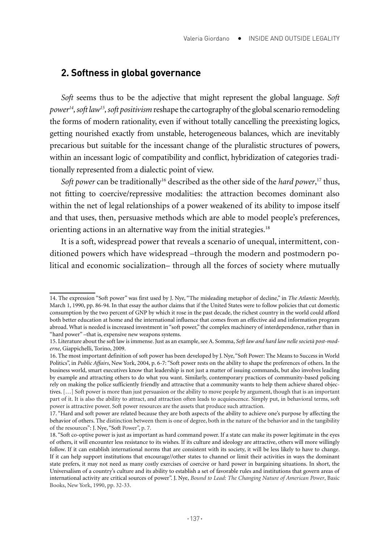#### **2. Softness in global governance**

*Soft* seems thus to be the adjective that might represent the global language. *Soft power14, soft law15, soft positivism* reshape the cartography of the global scenario remodeling the forms of modern rationality, even if without totally cancelling the preexisting logics, getting nourished exactly from unstable, heterogeneous balances, which are inevitably precarious but suitable for the incessant change of the pluralistic structures of powers, within an incessant logic of compatibility and conflict, hybridization of categories traditionally represented from a dialectic point of view.

Soft power can be traditionally<sup>16</sup> described as the other side of the *hard power*,<sup>17</sup> thus, not fitting to coercive/repressive modalities: the attraction becomes dominant also within the net of legal relationships of a power weakened of its ability to impose itself and that uses, then, persuasive methods which are able to model people's preferences, orienting actions in an alternative way from the initial strategies.<sup>18</sup>

It is a soft, widespread power that reveals a scenario of unequal, intermittent, conditioned powers which have widespread –through the modern and postmodern political and economic socialization– through all the forces of society where mutually

<sup>14.</sup> The expression "Soft power" was first used by J. Nye, "The misleading metaphor of decline," in *The Atlantic Monthly,*  March 1, 1990, pp. 86-94. In that essay the author claims that if the United States were to follow policies that cut domestic consumption by the two percent of GNP by which it rose in the past decade, the richest country in the world could afford both better education at home and the international influence that comes from an effective aid and information program abroad. What is needed is increased investment in "soft power," the complex machinery of interdependence, rather than in "hard power" –that is, expensive new weapons systems.

<sup>15.</sup> Literature about the soft law is immense. Just as an example, see A. Somma, *Soft law and hard law nelle società post-moderne*, Giappichelli, Torino, 2009.

<sup>16.</sup> The most important definition of soft power has been developed by J. Nye, "Soft Power: The Means to Success in World Politics", in *Public Affairs*, New York, 2004, p. 6-7: "Soft power rests on the ability to shape the preferences of others. In the business world, smart executives know that leadership is not just a matter of issuing commands, but also involves leading by example and attracting others to do what you want. Similarly, contemporary practices of community-based policing rely on making the police sufficiently friendly and attractive that a community wants to help them achieve shared objectives. […] Soft power is more than just persuasion or the ability to move people by argument, though that is an important part of it. It is also the ability to attract, and attraction often leads to acquiescence. Simply put, in behavioral terms, soft power is attractive power. Soft power resources are the assets that produce such attraction.

<sup>17. &</sup>quot;Hard and soft power are related because they are both aspects of the ability to achieve one's purpose by affecting the behavior of others. The distinction between them is one of degree, both in the nature of the behavior and in the tangibility of the resources": J. Nye, "Soft Power", p. 7.

<sup>18. &</sup>quot;Soft co-optive power is just as important as hard command power. If a state can make its power legitimate in the eyes of others, it will encounter less resistance to its wishes. If its culture and ideology are attractive, others will more willingly follow. If it can establish international norms that are consistent with its society, it will be less likely to have to change. If it can help support institutions that encourage//other states to channel or limit their activities in ways the dominant state prefers, it may not need as many costly exercises of coercive or hard power in bargaining situations. In short, the Universalism of a country's culture and its ability to establish a set of favorable rules and institutions that govern areas of international activity are critical sources of power". J. Nye, *Bound to Lead: The Changing Nature of American Power*, Basic Books, New York, 1990, pp. 32-33.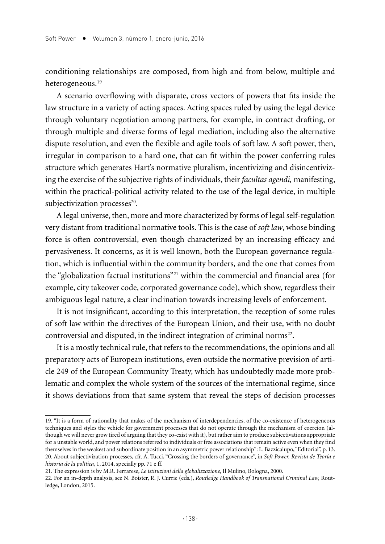conditioning relationships are composed, from high and from below, multiple and heterogeneous.<sup>19</sup>

A scenario overflowing with disparate, cross vectors of powers that fits inside the law structure in a variety of acting spaces. Acting spaces ruled by using the legal device through voluntary negotiation among partners, for example, in contract drafting, or through multiple and diverse forms of legal mediation, including also the alternative dispute resolution, and even the flexible and agile tools of soft law. A soft power, then, irregular in comparison to a hard one, that can fit within the power conferring rules structure which generates Hart's normative pluralism, incentivizing and disincentivizing the exercise of the subjective rights of individuals, their *facultas agendi,* manifesting, within the practical-political activity related to the use of the legal device, in multiple subjectivization processes<sup>20</sup>.

A legal universe, then, more and more characterized by forms of legal self-regulation very distant from traditional normative tools. This is the case of *soft law*, whose binding force is often controversial, even though characterized by an increasing efficacy and pervasiveness. It concerns, as it is well known, both the European governance regulation, which is influential within the community borders, and the one that comes from the "globalization factual institutions"21 within the commercial and financial area (for example, city takeover code, corporated governance code), which show, regardless their ambiguous legal nature, a clear inclination towards increasing levels of enforcement.

It is not insignificant, according to this interpretation, the reception of some rules of soft law within the directives of the European Union, and their use, with no doubt controversial and disputed, in the indirect integration of criminal norms<sup>22</sup>.

It is a mostly technical rule, that refers to the recommendations, the opinions and all preparatory acts of European institutions, even outside the normative prevision of article 249 of the European Community Treaty, which has undoubtedly made more problematic and complex the whole system of the sources of the international regime, since it shows deviations from that same system that reveal the steps of decision processes

<sup>19. &</sup>quot;It is a form of rationality that makes of the mechanism of interdependencies, of the co-existence of heterogeneous techniques and styles the vehicle for government processes that do not operate through the mechanism of coercion (although we will never grow tired of arguing that they co-exist with it), but rather aim to produce subjectivations appropriate for a unstable world, and power relations referred to individuals or free associations that remain active even when they find themselves in the weakest and subordinate position in an asymmetric power relationship": L. Bazzicalupo, "Editorial", p. 13. 20. About subjectivization processes, cfr. A. Tucci, "Crossing the borders of governance", in *Soft Power. Revista de Teoría e historia de la política*, 1, 2014, specially pp. 71 e ff.

<sup>21.</sup> The expression is by M.R. Ferrarese, *Le istituzioni della globalizzazione*, Il Mulino, Bologna, 2000.

<sup>22.</sup> For an in-depth analysis, see N. Boister, R. J. Currie (eds.), *Routledge Handbook of Transnational Criminal Law,* Routledge, London, 2015.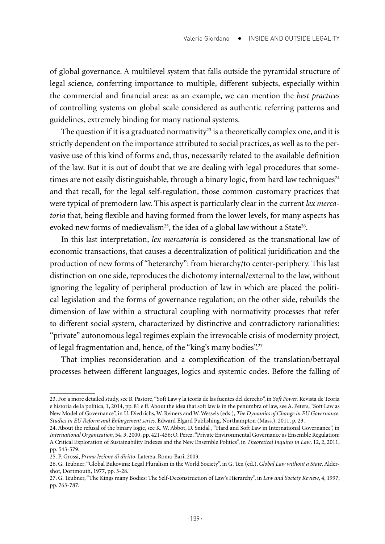of global governance. A multilevel system that falls outside the pyramidal structure of legal science, conferring importance to multiple, different subjects, especially within the commercial and financial area: as an example, we can mention the *best practices* of controlling systems on global scale considered as authentic referring patterns and guidelines, extremely binding for many national systems.

The question if it is a graduated normativity<sup>23</sup> is a theoretically complex one, and it is strictly dependent on the importance attributed to social practices, as well as to the pervasive use of this kind of forms and, thus, necessarily related to the available definition of the law. But it is out of doubt that we are dealing with legal procedures that sometimes are not easily distinguishable, through a binary logic, from hard law techniques<sup>24</sup> and that recall, for the legal self-regulation, those common customary practices that were typical of premodern law. This aspect is particularly clear in the current *lex mercatoria* that, being flexible and having formed from the lower levels, for many aspects has evoked new forms of medievalism<sup>25</sup>, the idea of a global law without a State<sup>26</sup>.

In this last interpretation, *lex mercatoria* is considered as the transnational law of economic transactions, that causes a decentralization of political juridification and the production of new forms of "heterarchy": from hierarchy/to center-periphery. This last distinction on one side, reproduces the dichotomy internal/external to the law, without ignoring the legality of peripheral production of law in which are placed the political legislation and the forms of governance regulation; on the other side, rebuilds the dimension of law within a structural coupling with normativity processes that refer to different social system, characterized by distinctive and contradictory rationalities: "private" autonomous legal regimes explain the irrevocable crisis of modernity project, of legal fragmentation and, hence, of the "king's many bodies".27

That implies reconsideration and a complexification of the translation/betrayal processes between different languages, logics and systemic codes. Before the falling of

<sup>23.</sup> For a more detailed study, see B. Pastore, "Soft Law y la teoría de las fuentes del derecho", in *Soft Power.* Revista de Teoría e historia de la política, 1, 2014, pp. 81 e ff. About the idea that soft law is in the penumbra of law, see A. Peters, "Soft Law as New Model of Governance", in U. Diedrichs, W. Reiners and W. Wessels (eds.), *The Dynamics of Change in EU Governance. Studies in EU Reform and Enlargement series,* Edward Elgard Publishing, Northampton (Mass.), 2011, p. 23.

<sup>24.</sup> About the refusal of the binary logic, see K. W. Abbot, D. Snidal , "Hard and Soft Law in International Governance", in *International Organization*, 54, 3, 2000, pp. 421-456; O. Perez, "Private Environmental Governance as Ensemble Regulation: A Critical Exploration of Sustainability Indexes and the New Ensemble Politics", in *Theoretical Inquires in Law*, 12, 2, 2011, pp. 543-579.

<sup>25.</sup> P. Grossi, *Prima lezione di diritto*, Laterza, Roma-Bari, 2003.

<sup>26.</sup> G. Teubner, "Global Bukovina: Legal Pluralism in the World Society", in G. Ten (ed.), *Global Law without a State,* Aldershot, Dortmouth, 1977, pp. 3-28.

<sup>27.</sup> G. Teubner, "The Kings many Bodies: The Self-Deconstruction of Law's Hierarchy", in *Law and Society Review*, 4, 1997, pp. 763-787.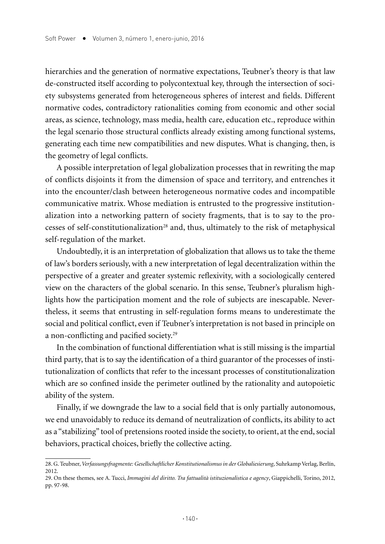hierarchies and the generation of normative expectations, Teubner's theory is that law de-constructed itself according to polycontextual key, through the intersection of society subsystems generated from heterogeneous spheres of interest and fields. Different normative codes, contradictory rationalities coming from economic and other social areas, as science, technology, mass media, health care, education etc., reproduce within the legal scenario those structural conflicts already existing among functional systems, generating each time new compatibilities and new disputes. What is changing, then, is the geometry of legal conflicts.

A possible interpretation of legal globalization processes that in rewriting the map of conflicts disjoints it from the dimension of space and territory, and entrenches it into the encounter/clash between heterogeneous normative codes and incompatible communicative matrix. Whose mediation is entrusted to the progressive institutionalization into a networking pattern of society fragments, that is to say to the processes of self-constitutionalization<sup>28</sup> and, thus, ultimately to the risk of metaphysical self-regulation of the market.

Undoubtedly, it is an interpretation of globalization that allows us to take the theme of law's borders seriously, with a new interpretation of legal decentralization within the perspective of a greater and greater systemic reflexivity, with a sociologically centered view on the characters of the global scenario. In this sense, Teubner's pluralism highlights how the participation moment and the role of subjects are inescapable. Nevertheless, it seems that entrusting in self-regulation forms means to underestimate the social and political conflict, even if Teubner's interpretation is not based in principle on a non-conflicting and pacified society.29

In the combination of functional differentiation what is still missing is the impartial third party, that is to say the identification of a third guarantor of the processes of institutionalization of conflicts that refer to the incessant processes of constitutionalization which are so confined inside the perimeter outlined by the rationality and autopoietic ability of the system.

Finally, if we downgrade the law to a social field that is only partially autonomous, we end unavoidably to reduce its demand of neutralization of conflicts, its ability to act as a "stabilizing" tool of pretensions rooted inside the society, to orient, at the end, social behaviors, practical choices, briefly the collective acting.

<sup>28.</sup> G. Teubner, *Verfassungsfragmente: Gesellschaftlicher Konstitutionalismus in der Globaliesierung*, Suhrkamp Verlag, Berlín, 2012.

<sup>29.</sup> On these themes, see A. Tucci, *Immagini del diritto. Tra fattualità istituzionalistica e agency*, Giappichelli, Torino, 2012, pp. 97-98.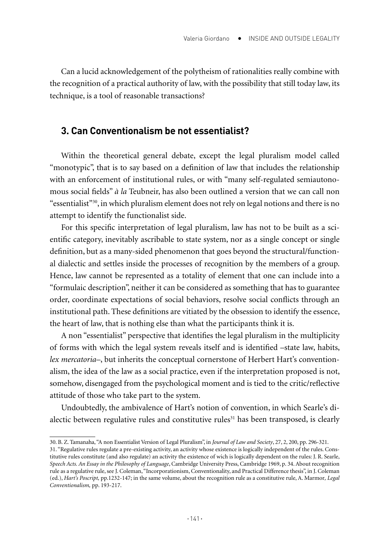Can a lucid acknowledgement of the polytheism of rationalities really combine with the recognition of a practical authority of law, with the possibility that still today law, its technique, is a tool of reasonable transactions?

#### **3. Can Conventionalism be not essentialist?**

Within the theoretical general debate, except the legal pluralism model called "monotypic", that is to say based on a definition of law that includes the relationship with an enforcement of institutional rules, or with "many self-regulated semiautonomous social fields" *à la* Teubneir, has also been outlined a version that we can call non "essentialist" $30$ , in which pluralism element does not rely on legal notions and there is no attempt to identify the functionalist side.

For this specific interpretation of legal pluralism, law has not to be built as a scientific category, inevitably ascribable to state system, nor as a single concept or single definition, but as a many-sided phenomenon that goes beyond the structural/functional dialectic and settles inside the processes of recognition by the members of a group. Hence, law cannot be represented as a totality of element that one can include into a "formulaic description", neither it can be considered as something that has to guarantee order, coordinate expectations of social behaviors, resolve social conflicts through an institutional path. These definitions are vitiated by the obsession to identify the essence, the heart of law, that is nothing else than what the participants think it is.

A non "essentialist" perspective that identifies the legal pluralism in the multiplicity of forms with which the legal system reveals itself and is identified –state law, habits, *lex mercatoria*–, but inherits the conceptual cornerstone of Herbert Hart's conventionalism, the idea of the law as a social practice, even if the interpretation proposed is not, somehow, disengaged from the psychological moment and is tied to the critic/reflective attitude of those who take part to the system.

Undoubtedly, the ambivalence of Hart's notion of convention, in which Searle's dialectic between regulative rules and constitutive rules $31$  has been transposed, is clearly

<sup>30.</sup> B. Z. Tamanaha, "A non Essentialist Version of Legal Pluralism", in *Journal of Law and Society*, 27, 2, 200, pp. 296-321.

<sup>31. &</sup>quot;Regulative rules regulate a pre-existing activity, an activity whose existence is logically independent of the rules. Constitutive rules constitute (and also regulate) an activity the existence of wich is logically dependent on the rules: J. R. Searle, *Speech Acts. An Essay in the Philosophy of Language*, Cambridge University Press, Cambridge 1969, p. 34. About recognition rule as a regulative rule, see J. Coleman, "Incorporationism, Conventionality, and Practical Difference thesis", in J. Coleman (ed.), *Hart's Poscript,* pp.1232-147; in the same volume, about the recognition rule as a constitutive rule, A. Marmor*, Legal Conventionalism,* pp. 193-217.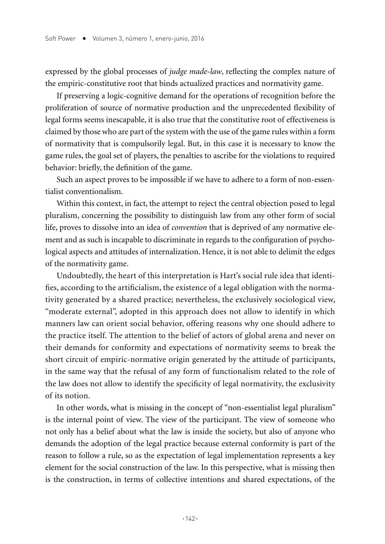expressed by the global processes of *judge made-law*, reflecting the complex nature of the empiric-constitutive root that binds actualized practices and normativity game.

If preserving a logic-cognitive demand for the operations of recognition before the proliferation of source of normative production and the unprecedented flexibility of legal forms seems inescapable, it is also true that the constitutive root of effectiveness is claimed by those who are part of the system with the use of the game rules within a form of normativity that is compulsorily legal. But, in this case it is necessary to know the game rules, the goal set of players, the penalties to ascribe for the violations to required behavior: briefly, the definition of the game.

Such an aspect proves to be impossible if we have to adhere to a form of non-essentialist conventionalism.

Within this context, in fact, the attempt to reject the central objection posed to legal pluralism, concerning the possibility to distinguish law from any other form of social life, proves to dissolve into an idea of *convention* that is deprived of any normative element and as such is incapable to discriminate in regards to the configuration of psychological aspects and attitudes of internalization. Hence, it is not able to delimit the edges of the normativity game.

Undoubtedly, the heart of this interpretation is Hart's social rule idea that identifies, according to the artificialism, the existence of a legal obligation with the normativity generated by a shared practice; nevertheless, the exclusively sociological view, "moderate external", adopted in this approach does not allow to identify in which manners law can orient social behavior, offering reasons why one should adhere to the practice itself. The attention to the belief of actors of global arena and never on their demands for conformity and expectations of normativity seems to break the short circuit of empiric-normative origin generated by the attitude of participants, in the same way that the refusal of any form of functionalism related to the role of the law does not allow to identify the specificity of legal normativity, the exclusivity of its notion.

In other words, what is missing in the concept of "non-essentialist legal pluralism" is the internal point of view. The view of the participant. The view of someone who not only has a belief about what the law is inside the society, but also of anyone who demands the adoption of the legal practice because external conformity is part of the reason to follow a rule, so as the expectation of legal implementation represents a key element for the social construction of the law. In this perspective, what is missing then is the construction, in terms of collective intentions and shared expectations, of the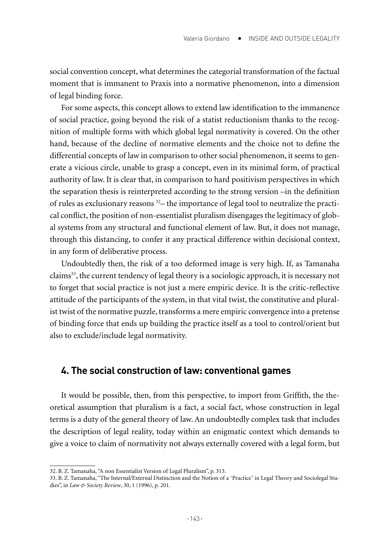social convention concept, what determines the categorial transformation of the factual moment that is immanent to Praxis into a normative phenomenon, into a dimension of legal binding force.

For some aspects, this concept allows to extend law identification to the immanence of social practice, going beyond the risk of a statist reductionism thanks to the recognition of multiple forms with which global legal normativity is covered. On the other hand, because of the decline of normative elements and the choice not to define the differential concepts of law in comparison to other social phenomenon, it seems to generate a vicious circle, unable to grasp a concept, even in its minimal form, of practical authority of law. It is clear that, in comparison to hard positivism perspectives in which the separation thesis is reinterpreted according to the strong version –in the definition of rules as exclusionary reasons 32– the importance of legal tool to neutralize the practical conflict, the position of non-essentialist pluralism disengages the legitimacy of global systems from any structural and functional element of law. But, it does not manage, through this distancing, to confer it any practical difference within decisional context, in any form of deliberative process.

Undoubtedly then, the risk of a too deformed image is very high. If, as Tamanaha claims33, the current tendency of legal theory is a sociologic approach, it is necessary not to forget that social practice is not just a mere empiric device. It is the critic-reflective attitude of the participants of the system, in that vital twist, the constitutive and pluralist twist of the normative puzzle, transforms a mere empiric convergence into a pretense of binding force that ends up building the practice itself as a tool to control/orient but also to exclude/include legal normativity.

#### **4. The social construction of law: conventional games**

It would be possible, then, from this perspective, to import from Griffith, the theoretical assumption that pluralism is a fact, a social fact, whose construction in legal terms is a duty of the general theory of law. An undoubtedly complex task that includes the description of legal reality, today within an enigmatic context which demands to give a voice to claim of normativity not always externally covered with a legal form, but

<sup>32.</sup> B. Z. Tamanaha, "A non Essentialist Version of Legal Pluralism", p. 313.

<sup>33.</sup> B. Z. Tamanaha, "The Internal/External Distinction and the Notion of a ʻPractice' in Legal Theory and Sociolegal Studies", in *Law & Society Review*, 30, 1 (1996), p. 201.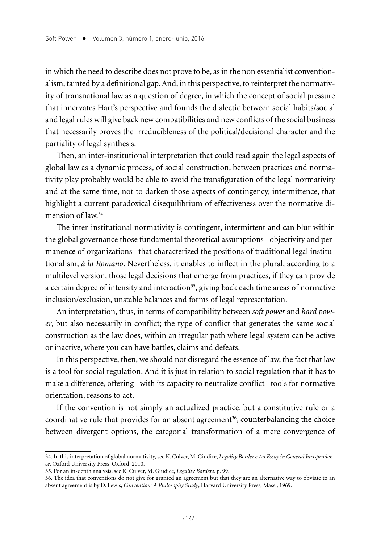in which the need to describe does not prove to be, as in the non essentialist conventionalism, tainted by a definitional gap. And, in this perspective, to reinterpret the normativity of transnational law as a question of degree, in which the concept of social pressure that innervates Hart's perspective and founds the dialectic between social habits/social and legal rules will give back new compatibilities and new conflicts of the social business that necessarily proves the irreducibleness of the political/decisional character and the partiality of legal synthesis.

Then, an inter-institutional interpretation that could read again the legal aspects of global law as a dynamic process, of social construction, between practices and normativity play probably would be able to avoid the transfiguration of the legal normativity and at the same time, not to darken those aspects of contingency, intermittence, that highlight a current paradoxical disequilibrium of effectiveness over the normative dimension of law<sup>34</sup>

The inter-institutional normativity is contingent, intermittent and can blur within the global governance those fundamental theoretical assumptions –objectivity and permanence of organizations– that characterized the positions of traditional legal institutionalism, *à la Romano*. Nevertheless, it enables to inflect in the plural, according to a multilevel version, those legal decisions that emerge from practices, if they can provide a certain degree of intensity and interaction<sup>35</sup>, giving back each time areas of normative inclusion/exclusion, unstable balances and forms of legal representation.

An interpretation, thus, in terms of compatibility between *soft power* and *hard power*, but also necessarily in conflict; the type of conflict that generates the same social construction as the law does, within an irregular path where legal system can be active or inactive, where you can have battles, claims and defeats.

In this perspective, then, we should not disregard the essence of law, the fact that law is a tool for social regulation. And it is just in relation to social regulation that it has to make a difference, offering –with its capacity to neutralize conflict– tools for normative orientation, reasons to act.

If the convention is not simply an actualized practice, but a constitutive rule or a coordinative rule that provides for an absent agreement<sup>36</sup>, counterbalancing the choice between divergent options, the categorial transformation of a mere convergence of

<sup>34.</sup> In this interpretation of global normativity, see K. Culver, M. Giudice, *Legality Borders: An Essay in General Jurisprudence*, Oxford University Press, Oxford, 2010.

<sup>35.</sup> For an in-depth analysis, see K. Culver, M. Giudice, *Legality Borders,* p. 99.

<sup>36.</sup> The idea that conventions do not give for granted an agreement but that they are an alternative way to obviate to an absent agreement is by D. Lewis, *Convention: A Philosophy Study*, Harvard University Press, Mass., 1969.